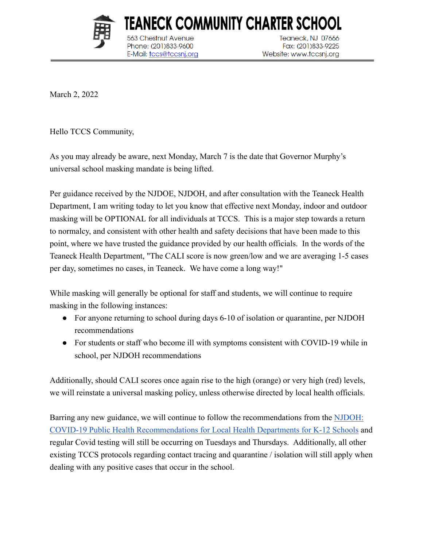

563 Chestnut Avenue

Phone: (201)833-9600

E-Mail: tccs@tccsnj.org

**Teaneck, NJ 07666** Fax: (201)833-9225 Website: www.tccsnj.org

March 2, 2022

Hello TCCS Community,

As you may already be aware, next Monday, March 7 is the date that Governor Murphy's universal school masking mandate is being lifted.

TEANECK COMMUNITY CHARTER SCHOOL

Per guidance received by the NJDOE, NJDOH, and after consultation with the Teaneck Health Department, I am writing today to let you know that effective next Monday, indoor and outdoor masking will be OPTIONAL for all individuals at TCCS. This is a major step towards a return to normalcy, and consistent with other health and safety decisions that have been made to this point, where we have trusted the guidance provided by our health officials. In the words of the Teaneck Health Department, "The CALI score is now green/low and we are averaging 1-5 cases per day, sometimes no cases, in Teaneck. We have come a long way!"

While masking will generally be optional for staff and students, we will continue to require masking in the following instances:

- For anyone returning to school during days 6-10 of isolation or quarantine, per NJDOH recommendations
- For students or staff who become ill with symptoms consistent with COVID-19 while in school, per NJDOH recommendations

Additionally, should CALI scores once again rise to the high (orange) or very high (red) levels, we will reinstate a universal masking policy, unless otherwise directed by local health officials.

Barring any new guidance, we will continue to follow the recommendations from the [NJDOH:](https://www.state.nj.us/health/cd/documents/topics/NCOV/RecommendationsForLocalHealthDepts_K12Schools.pdf) [COVID-19 Public Health Recommendations for Local Health Departments for K-12 Schools](https://www.state.nj.us/health/cd/documents/topics/NCOV/RecommendationsForLocalHealthDepts_K12Schools.pdf) and regular Covid testing will still be occurring on Tuesdays and Thursdays. Additionally, all other existing TCCS protocols regarding contact tracing and quarantine / isolation will still apply when dealing with any positive cases that occur in the school.